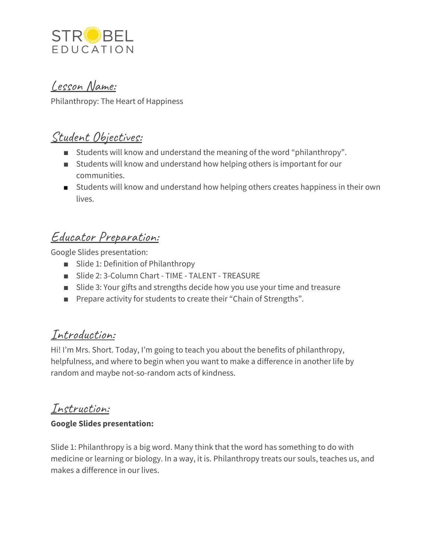

Lesson Name:

Philanthropy: The Heart of Happiness

## Student Objectives:

- Students will know and understand the meaning of the word "philanthropy".
- Students will know and understand how helping others is important for our communities.
- Students will know and understand how helping others creates happiness in their own lives.

# Educator Preparation:

Google Slides presentation:

- Slide 1: Definition of Philanthropy
- Slide 2: 3-Column Chart TIME TALENT TREASURE
- Slide 3: Your gifts and strengths decide how you use your time and treasure
- Prepare activity for students to create their "Chain of Strengths".

### Introduction:

Hi! I'm Mrs. Short. Today, I'm going to teach you about the benefits of philanthropy, helpfulness, and where to begin when you want to make a difference in another life by random and maybe not-so-random acts of kindness.

## Instruction:

#### **Google Slides presentation:**

Slide 1: Philanthropy is a big word. Many think that the word has something to do with medicine or learning or biology. In a way, it is. Philanthropy treats our souls, teaches us, and makes a difference in our lives.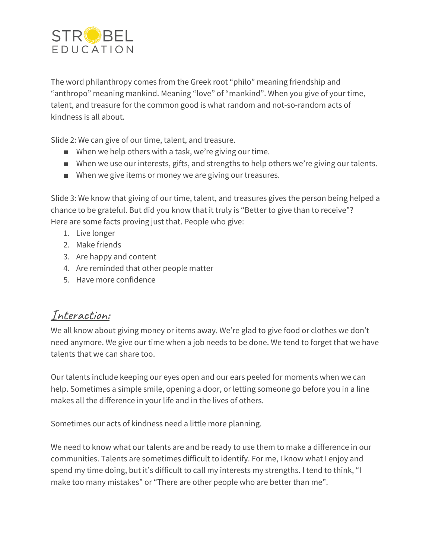

The word philanthropy comes from the Greek root "philo" meaning friendship and "anthropo" meaning mankind. Meaning "love" of "mankind". When you give of your time, talent, and treasure for the common good is what random and not-so-random acts of kindness is all about.

Slide 2: We can give of our time, talent, and treasure.

- When we help others with a task, we're giving our time.
- When we use our interests, gifts, and strengths to help others we're giving our talents.
- When we give items or money we are giving our treasures.

Slide 3: We know that giving of our time, talent, and treasures gives the person being helped a chance to be grateful. But did you know that it truly is "Better to give than to receive"? Here are some facts proving just that. People who give:

- 1. Live longer
- 2. Make friends
- 3. Are happy and content
- 4. Are reminded that other people matter
- 5. Have more confidence

### Interaction:

We all know about giving money or items away. We're glad to give food or clothes we don't need anymore. We give our time when a job needs to be done. We tend to forget that we have talents that we can share too.

Our talents include keeping our eyes open and our ears peeled for moments when we can help. Sometimes a simple smile, opening a door, or letting someone go before you in a line makes all the difference in your life and in the lives of others.

Sometimes our acts of kindness need a little more planning.

We need to know what our talents are and be ready to use them to make a difference in our communities. Talents are sometimes difficult to identify. For me, I know what I enjoy and spend my time doing, but it's difficult to call my interests my strengths. I tend to think, "I make too many mistakes" or "There are other people who are better than me".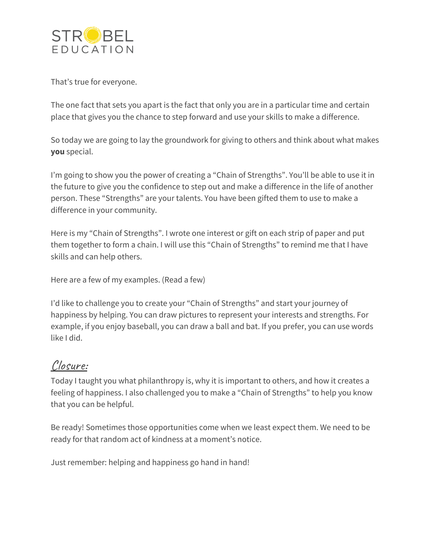

That's true for everyone.

The one fact that sets you apart is the fact that only you are in a particular time and certain place that gives you the chance to step forward and use your skills to make a difference.

So today we are going to lay the groundwork for giving to others and think about what makes **you** special.

I'm going to show you the power of creating a "Chain of Strengths". You'll be able to use it in the future to give you the confidence to step out and make a difference in the life of another person. These "Strengths" are your talents. You have been gifted them to use to make a difference in your community.

Here is my "Chain of Strengths". I wrote one interest or gift on each strip of paper and put them together to form a chain. I will use this "Chain of Strengths" to remind me that I have skills and can help others.

Here are a few of my examples. (Read a few)

I'd like to challenge you to create your "Chain of Strengths" and start your journey of happiness by helping. You can draw pictures to represent your interests and strengths. For example, if you enjoy baseball, you can draw a ball and bat. If you prefer, you can use words like I did.

#### Closure:

Today I taught you what philanthropy is, why it is important to others, and how it creates a feeling of happiness. I also challenged you to make a "Chain of Strengths" to help you know that you can be helpful.

Be ready! Sometimes those opportunities come when we least expect them. We need to be ready for that random act of kindness at a moment's notice.

Just remember: helping and happiness go hand in hand!